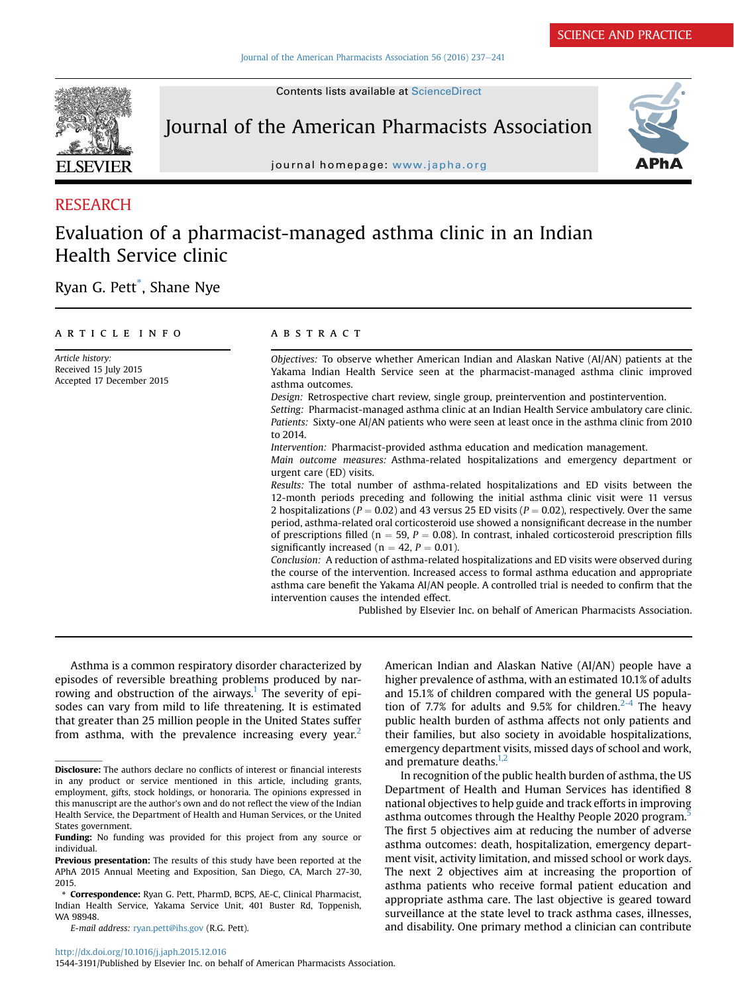[Journal of the American Pharmacists Association 56 \(2016\) 237](http://dx.doi.org/10.1016/j.japh.2015.12.016)-[241](http://dx.doi.org/10.1016/j.japh.2015.12.016)

**ELSEVIER** 

Contents lists available at [ScienceDirect](www.sciencedirect.com/science/journal/15443191)

Journal of the American Pharmacists Association



journal homepage: <www.japha.org>

## RESEARCH

# Evaluation of a pharmacist-managed asthma clinic in an Indian Health Service clinic

Ryan G. Pett\* , Shane Nye

## article info

Article history: Received 15 July 2015 Accepted 17 December 2015

## **ABSTRACT**

Objectives: To observe whether American Indian and Alaskan Native (AI/AN) patients at the Yakama Indian Health Service seen at the pharmacist-managed asthma clinic improved asthma outcomes.

Design: Retrospective chart review, single group, preintervention and postintervention.

Setting: Pharmacist-managed asthma clinic at an Indian Health Service ambulatory care clinic. Patients: Sixty-one AI/AN patients who were seen at least once in the asthma clinic from 2010 to 2014.

Intervention: Pharmacist-provided asthma education and medication management.

Main outcome measures: Asthma-related hospitalizations and emergency department or urgent care (ED) visits.

Results: The total number of asthma-related hospitalizations and ED visits between the 12-month periods preceding and following the initial asthma clinic visit were 11 versus 2 hospitalizations ( $P = 0.02$ ) and 43 versus 25 ED visits ( $P = 0.02$ ), respectively. Over the same period, asthma-related oral corticosteroid use showed a nonsignificant decrease in the number of prescriptions filled ( $n = 59$ ,  $P = 0.08$ ). In contrast, inhaled corticosteroid prescription fills significantly increased ( $n = 42$ ,  $P = 0.01$ ).

Conclusion: A reduction of asthma-related hospitalizations and ED visits were observed during the course of the intervention. Increased access to formal asthma education and appropriate asthma care benefit the Yakama AI/AN people. A controlled trial is needed to confirm that the intervention causes the intended effect.

Published by Elsevier Inc. on behalf of American Pharmacists Association.

Asthma is a common respiratory disorder characterized by episodes of reversible breathing problems produced by nar-rowing and obstruction of the airways.<sup>[1](#page-4-0)</sup> The severity of episodes can vary from mild to life threatening. It is estimated that greater than 25 million people in the United States suffer from asthma, with the prevalence increasing every year.<sup>2</sup>

1544-3191/Published by Elsevier Inc. on behalf of American Pharmacists Association.

American Indian and Alaskan Native (AI/AN) people have a higher prevalence of asthma, with an estimated 10.1% of adults and 15.1% of children compared with the general US popula-tion of 7.7% for adults and 9.5% for children.<sup>[2-4](#page-4-0)</sup> The heavy public health burden of asthma affects not only patients and their families, but also society in avoidable hospitalizations, emergency department visits, missed days of school and work, and premature deaths. $1,2$ 

In recognition of the public health burden of asthma, the US Department of Health and Human Services has identified 8 national objectives to help guide and track efforts in improving asthma outcomes through the Healthy People 2020 program.<sup>[5](#page-4-0)</sup> The first 5 objectives aim at reducing the number of adverse asthma outcomes: death, hospitalization, emergency department visit, activity limitation, and missed school or work days. The next 2 objectives aim at increasing the proportion of asthma patients who receive formal patient education and appropriate asthma care. The last objective is geared toward surveillance at the state level to track asthma cases, illnesses, and disability. One primary method a clinician can contribute

Disclosure: The authors declare no conflicts of interest or financial interests in any product or service mentioned in this article, including grants, employment, gifts, stock holdings, or honoraria. The opinions expressed in this manuscript are the author's own and do not reflect the view of the Indian Health Service, the Department of Health and Human Services, or the United States government.

Funding: No funding was provided for this project from any source or individual.

Previous presentation: The results of this study have been reported at the APhA 2015 Annual Meeting and Exposition, San Diego, CA, March 27-30, 2015.

Correspondence: Ryan G. Pett, PharmD, BCPS, AE-C, Clinical Pharmacist, Indian Health Service, Yakama Service Unit, 401 Buster Rd, Toppenish, WA 98948.

E-mail address: [ryan.pett@ihs.gov](mailto:ryan.pett@ihs.gov) (R.G. Pett).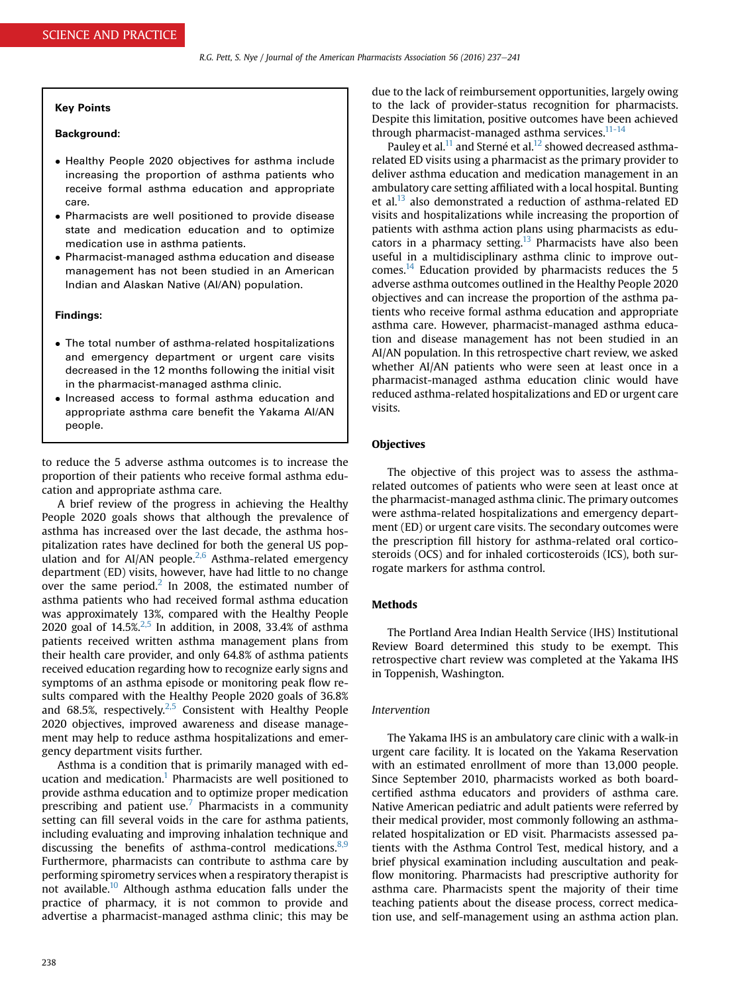#### Key Points

## Background:

- Healthy People 2020 objectives for asthma include increasing the proportion of asthma patients who receive formal asthma education and appropriate care.
- Pharmacists are well positioned to provide disease state and medication education and to optimize medication use in asthma patients.
- Pharmacist-managed asthma education and disease management has not been studied in an American Indian and Alaskan Native (AI/AN) population.

#### Findings:

- The total number of asthma-related hospitalizations and emergency department or urgent care visits decreased in the 12 months following the initial visit in the pharmacist-managed asthma clinic.
- Increased access to formal asthma education and appropriate asthma care benefit the Yakama AI/AN people.

to reduce the 5 adverse asthma outcomes is to increase the proportion of their patients who receive formal asthma education and appropriate asthma care.

A brief review of the progress in achieving the Healthy People 2020 goals shows that although the prevalence of asthma has increased over the last decade, the asthma hospitalization rates have declined for both the general US population and for AI/AN people. $2,6$  Asthma-related emergency department (ED) visits, however, have had little to no change over the same period.<sup>[2](#page-4-0)</sup> In 2008, the estimated number of asthma patients who had received formal asthma education was approximately 13%, compared with the Healthy People 2020 goal of  $14.5\frac{2}{5}$  In addition, in 2008, 33.4% of asthma patients received written asthma management plans from their health care provider, and only 64.8% of asthma patients received education regarding how to recognize early signs and symptoms of an asthma episode or monitoring peak flow results compared with the Healthy People 2020 goals of 36.8% and 68.5%, respectively. $2.5$  Consistent with Healthy People 2020 objectives, improved awareness and disease management may help to reduce asthma hospitalizations and emergency department visits further.

Asthma is a condition that is primarily managed with ed-ucation and medication.<sup>[1](#page-4-0)</sup> Pharmacists are well positioned to provide asthma education and to optimize proper medication prescribing and patient use.<sup>7</sup> Pharmacists in a community setting can fill several voids in the care for asthma patients, including evaluating and improving inhalation technique and discussing the benefits of asthma-control medications. $8,9$ Furthermore, pharmacists can contribute to asthma care by performing spirometry services when a respiratory therapist is not available.<sup>[10](#page-4-0)</sup> Although asthma education falls under the practice of pharmacy, it is not common to provide and advertise a pharmacist-managed asthma clinic; this may be

due to the lack of reimbursement opportunities, largely owing to the lack of provider-status recognition for pharmacists. Despite this limitation, positive outcomes have been achieved through pharmacist-managed asthma services. $11-14$ 

Pauley et al.<sup>[11](#page-4-0)</sup> and Sterné et al.<sup>[12](#page-4-0)</sup> showed decreased asthmarelated ED visits using a pharmacist as the primary provider to deliver asthma education and medication management in an ambulatory care setting affiliated with a local hospital. Bunting et al. $^{13}$  also demonstrated a reduction of asthma-related ED visits and hospitalizations while increasing the proportion of patients with asthma action plans using pharmacists as edu-cators in a pharmacy setting.<sup>[13](#page-4-0)</sup> Pharmacists have also been useful in a multidisciplinary asthma clinic to improve outcomes.[14](#page-4-0) Education provided by pharmacists reduces the 5 adverse asthma outcomes outlined in the Healthy People 2020 objectives and can increase the proportion of the asthma patients who receive formal asthma education and appropriate asthma care. However, pharmacist-managed asthma education and disease management has not been studied in an AI/AN population. In this retrospective chart review, we asked whether AI/AN patients who were seen at least once in a pharmacist-managed asthma education clinic would have reduced asthma-related hospitalizations and ED or urgent care visits.

### **Objectives**

The objective of this project was to assess the asthmarelated outcomes of patients who were seen at least once at the pharmacist-managed asthma clinic. The primary outcomes were asthma-related hospitalizations and emergency department (ED) or urgent care visits. The secondary outcomes were the prescription fill history for asthma-related oral corticosteroids (OCS) and for inhaled corticosteroids (ICS), both surrogate markers for asthma control.

## **Methods**

The Portland Area Indian Health Service (IHS) Institutional Review Board determined this study to be exempt. This retrospective chart review was completed at the Yakama IHS in Toppenish, Washington.

## Intervention

The Yakama IHS is an ambulatory care clinic with a walk-in urgent care facility. It is located on the Yakama Reservation with an estimated enrollment of more than 13,000 people. Since September 2010, pharmacists worked as both boardcertified asthma educators and providers of asthma care. Native American pediatric and adult patients were referred by their medical provider, most commonly following an asthmarelated hospitalization or ED visit. Pharmacists assessed patients with the Asthma Control Test, medical history, and a brief physical examination including auscultation and peakflow monitoring. Pharmacists had prescriptive authority for asthma care. Pharmacists spent the majority of their time teaching patients about the disease process, correct medication use, and self-management using an asthma action plan.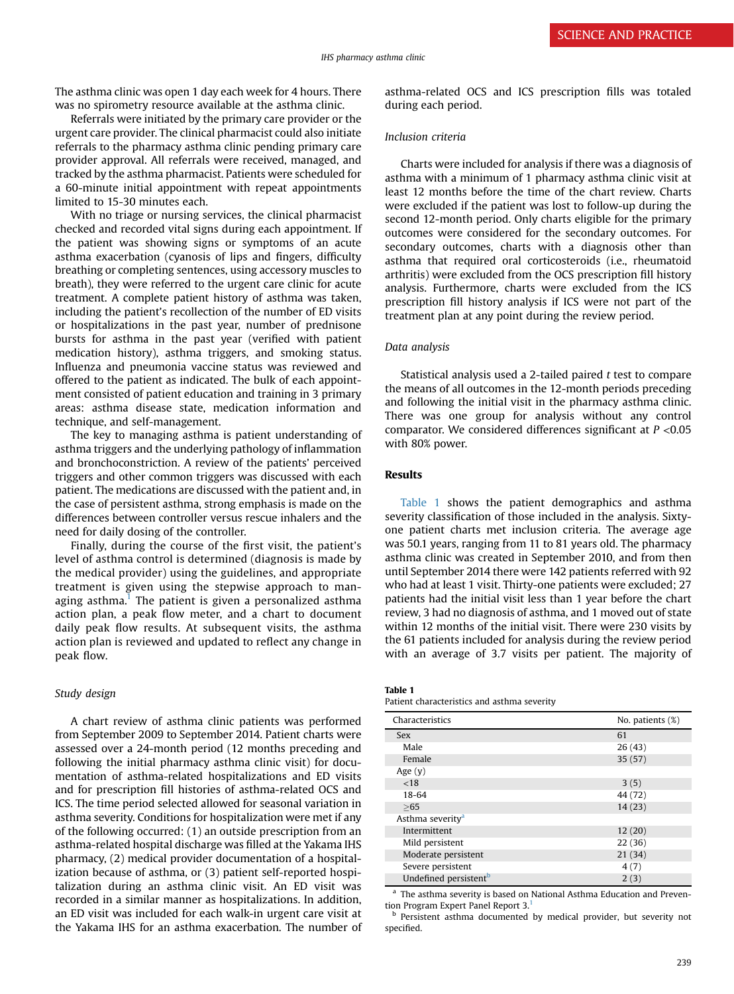The asthma clinic was open 1 day each week for 4 hours. There was no spirometry resource available at the asthma clinic.

Referrals were initiated by the primary care provider or the urgent care provider. The clinical pharmacist could also initiate referrals to the pharmacy asthma clinic pending primary care provider approval. All referrals were received, managed, and tracked by the asthma pharmacist. Patients were scheduled for a 60-minute initial appointment with repeat appointments limited to 15-30 minutes each.

With no triage or nursing services, the clinical pharmacist checked and recorded vital signs during each appointment. If the patient was showing signs or symptoms of an acute asthma exacerbation (cyanosis of lips and fingers, difficulty breathing or completing sentences, using accessory muscles to breath), they were referred to the urgent care clinic for acute treatment. A complete patient history of asthma was taken, including the patient's recollection of the number of ED visits or hospitalizations in the past year, number of prednisone bursts for asthma in the past year (verified with patient medication history), asthma triggers, and smoking status. Influenza and pneumonia vaccine status was reviewed and offered to the patient as indicated. The bulk of each appointment consisted of patient education and training in 3 primary areas: asthma disease state, medication information and technique, and self-management.

The key to managing asthma is patient understanding of asthma triggers and the underlying pathology of inflammation and bronchoconstriction. A review of the patients' perceived triggers and other common triggers was discussed with each patient. The medications are discussed with the patient and, in the case of persistent asthma, strong emphasis is made on the differences between controller versus rescue inhalers and the need for daily dosing of the controller.

Finally, during the course of the first visit, the patient's level of asthma control is determined (diagnosis is made by the medical provider) using the guidelines, and appropriate treatment is given using the stepwise approach to man-aging asthma.<sup>[1](#page-4-0)</sup> The patient is given a personalized asthma action plan, a peak flow meter, and a chart to document daily peak flow results. At subsequent visits, the asthma action plan is reviewed and updated to reflect any change in peak flow.

### Study design

A chart review of asthma clinic patients was performed from September 2009 to September 2014. Patient charts were assessed over a 24-month period (12 months preceding and following the initial pharmacy asthma clinic visit) for documentation of asthma-related hospitalizations and ED visits and for prescription fill histories of asthma-related OCS and ICS. The time period selected allowed for seasonal variation in asthma severity. Conditions for hospitalization were met if any of the following occurred: (1) an outside prescription from an asthma-related hospital discharge was filled at the Yakama IHS pharmacy, (2) medical provider documentation of a hospitalization because of asthma, or (3) patient self-reported hospitalization during an asthma clinic visit. An ED visit was recorded in a similar manner as hospitalizations. In addition, an ED visit was included for each walk-in urgent care visit at the Yakama IHS for an asthma exacerbation. The number of asthma-related OCS and ICS prescription fills was totaled during each period.

#### Inclusion criteria

Charts were included for analysis if there was a diagnosis of asthma with a minimum of 1 pharmacy asthma clinic visit at least 12 months before the time of the chart review. Charts were excluded if the patient was lost to follow-up during the second 12-month period. Only charts eligible for the primary outcomes were considered for the secondary outcomes. For secondary outcomes, charts with a diagnosis other than asthma that required oral corticosteroids (i.e., rheumatoid arthritis) were excluded from the OCS prescription fill history analysis. Furthermore, charts were excluded from the ICS prescription fill history analysis if ICS were not part of the treatment plan at any point during the review period.

#### Data analysis

Statistical analysis used a 2-tailed paired t test to compare the means of all outcomes in the 12-month periods preceding and following the initial visit in the pharmacy asthma clinic. There was one group for analysis without any control comparator. We considered differences significant at  $P < 0.05$ with 80% power.

### Results

Table 1 shows the patient demographics and asthma severity classification of those included in the analysis. Sixtyone patient charts met inclusion criteria. The average age was 50.1 years, ranging from 11 to 81 years old. The pharmacy asthma clinic was created in September 2010, and from then until September 2014 there were 142 patients referred with 92 who had at least 1 visit. Thirty-one patients were excluded; 27 patients had the initial visit less than 1 year before the chart review, 3 had no diagnosis of asthma, and 1 moved out of state within 12 months of the initial visit. There were 230 visits by the 61 patients included for analysis during the review period with an average of 3.7 visits per patient. The majority of

Patient characteristics and asthma severity

| Characteristics                   | No. patients (%) |  |
|-----------------------------------|------------------|--|
| <b>Sex</b>                        | 61               |  |
| Male                              | 26(43)           |  |
| Female                            | 35(57)           |  |
| Age $(y)$                         |                  |  |
| ${<}18$                           | 3(5)             |  |
| 18-64                             | 44 (72)          |  |
| >65                               | 14(23)           |  |
| Asthma severity <sup>a</sup>      |                  |  |
| Intermittent                      | 12(20)           |  |
| Mild persistent                   | 22(36)           |  |
| Moderate persistent               | 21(34)           |  |
| Severe persistent                 | 4(7)             |  |
| Undefined persistent <sup>b</sup> | 2(3)             |  |

<sup>a</sup> The asthma severity is based on National Asthma Education and Preven-tion Program Expert Panel Report 3.<sup>[1](#page-4-0)</sup>

Persistent asthma documented by medical provider, but severity not specified.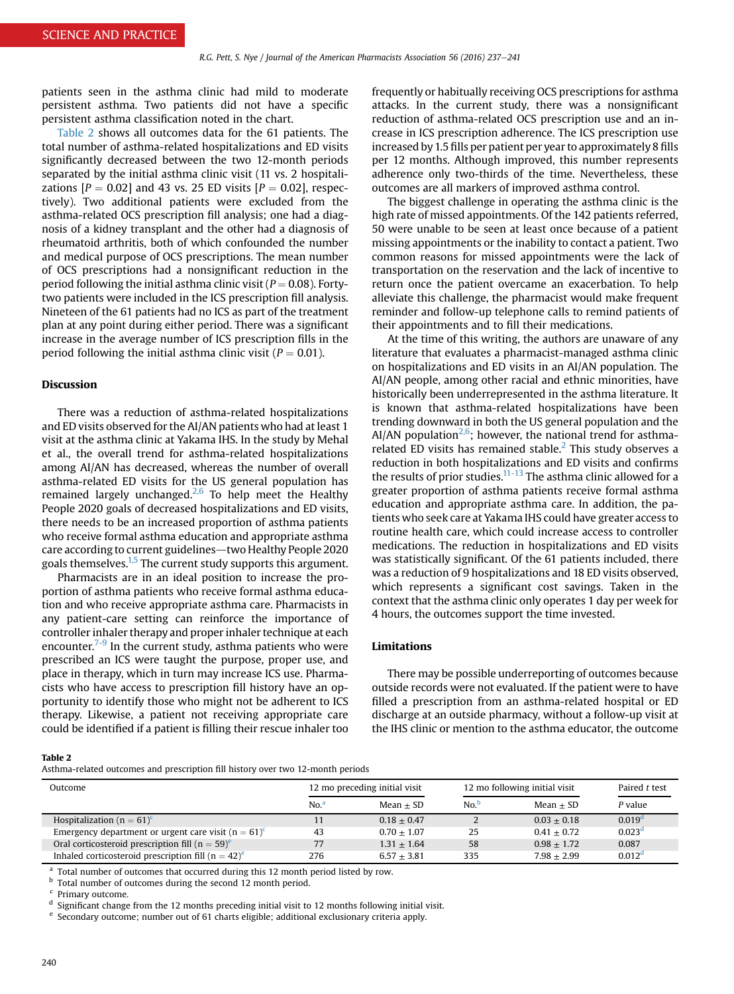patients seen in the asthma clinic had mild to moderate persistent asthma. Two patients did not have a specific persistent asthma classification noted in the chart.

Table 2 shows all outcomes data for the 61 patients. The total number of asthma-related hospitalizations and ED visits significantly decreased between the two 12-month periods separated by the initial asthma clinic visit (11 vs. 2 hospitalizations  $[P = 0.02]$  and 43 vs. 25 ED visits  $[P = 0.02]$ , respectively). Two additional patients were excluded from the asthma-related OCS prescription fill analysis; one had a diagnosis of a kidney transplant and the other had a diagnosis of rheumatoid arthritis, both of which confounded the number and medical purpose of OCS prescriptions. The mean number of OCS prescriptions had a nonsignificant reduction in the period following the initial asthma clinic visit ( $P = 0.08$ ). Fortytwo patients were included in the ICS prescription fill analysis. Nineteen of the 61 patients had no ICS as part of the treatment plan at any point during either period. There was a significant increase in the average number of ICS prescription fills in the period following the initial asthma clinic visit ( $P = 0.01$ ).

## Discussion

There was a reduction of asthma-related hospitalizations and ED visits observed for the AI/AN patients who had at least 1 visit at the asthma clinic at Yakama IHS. In the study by Mehal et al., the overall trend for asthma-related hospitalizations among AI/AN has decreased, whereas the number of overall asthma-related ED visits for the US general population has remained largely unchanged.<sup>2,6</sup> To help meet the Healthy People 2020 goals of decreased hospitalizations and ED visits, there needs to be an increased proportion of asthma patients who receive formal asthma education and appropriate asthma care according to current guidelines—two Healthy People 2020 goals themselves.<sup>[1,5](#page-4-0)</sup> The current study supports this argument.

Pharmacists are in an ideal position to increase the proportion of asthma patients who receive formal asthma education and who receive appropriate asthma care. Pharmacists in any patient-care setting can reinforce the importance of controller inhaler therapy and proper inhaler technique at each encounter.<sup> $7-9$ </sup> In the current study, asthma patients who were prescribed an ICS were taught the purpose, proper use, and place in therapy, which in turn may increase ICS use. Pharmacists who have access to prescription fill history have an opportunity to identify those who might not be adherent to ICS therapy. Likewise, a patient not receiving appropriate care could be identified if a patient is filling their rescue inhaler too

frequently or habitually receiving OCS prescriptions for asthma attacks. In the current study, there was a nonsignificant reduction of asthma-related OCS prescription use and an increase in ICS prescription adherence. The ICS prescription use increased by 1.5 fills per patient per year to approximately 8 fills per 12 months. Although improved, this number represents adherence only two-thirds of the time. Nevertheless, these outcomes are all markers of improved asthma control.

The biggest challenge in operating the asthma clinic is the high rate of missed appointments. Of the 142 patients referred, 50 were unable to be seen at least once because of a patient missing appointments or the inability to contact a patient. Two common reasons for missed appointments were the lack of transportation on the reservation and the lack of incentive to return once the patient overcame an exacerbation. To help alleviate this challenge, the pharmacist would make frequent reminder and follow-up telephone calls to remind patients of their appointments and to fill their medications.

At the time of this writing, the authors are unaware of any literature that evaluates a pharmacist-managed asthma clinic on hospitalizations and ED visits in an AI/AN population. The AI/AN people, among other racial and ethnic minorities, have historically been underrepresented in the asthma literature. It is known that asthma-related hospitalizations have been trending downward in both the US general population and the AI/AN population<sup>2,6</sup>; however, the national trend for asthmarelated ED visits has remained stable. $<sup>2</sup>$  $<sup>2</sup>$  $<sup>2</sup>$  This study observes a</sup> reduction in both hospitalizations and ED visits and confirms the results of prior studies. $11-13$  The asthma clinic allowed for a greater proportion of asthma patients receive formal asthma education and appropriate asthma care. In addition, the patients who seek care at Yakama IHS could have greater access to routine health care, which could increase access to controller medications. The reduction in hospitalizations and ED visits was statistically significant. Of the 61 patients included, there was a reduction of 9 hospitalizations and 18 ED visits observed, which represents a significant cost savings. Taken in the context that the asthma clinic only operates 1 day per week for 4 hours, the outcomes support the time invested.

#### Limitations

There may be possible underreporting of outcomes because outside records were not evaluated. If the patient were to have filled a prescription from an asthma-related hospital or ED discharge at an outside pharmacy, without a follow-up visit at the IHS clinic or mention to the asthma educator, the outcome

Table 2

Asthma-related outcomes and prescription fill history over two 12-month periods

| Outcome                                                         | 12 mo preceding initial visit |               | 12 mo following initial visit |               | Paired t test      |
|-----------------------------------------------------------------|-------------------------------|---------------|-------------------------------|---------------|--------------------|
|                                                                 | No. <sup>a</sup>              | Mean $\pm$ SD | No. <sup>b</sup>              | Mean $\pm$ SD | P value            |
| Hospitalization ( $n = 61$ ) <sup>c</sup>                       | 11                            | $0.18 + 0.47$ |                               | $0.03 + 0.18$ | 0.019 <sup>d</sup> |
| Emergency department or urgent care visit $(n = 61)^{c}$        | 43                            | $0.70 + 1.07$ | 25                            | $0.41 + 0.72$ | 0.023 <sup>d</sup> |
| Oral corticosteroid prescription fill ( $n = 59$ ) <sup>e</sup> | 77                            | $1.31 + 1.64$ | 58                            | $0.98 + 1.72$ | 0.087              |
| Inhaled corticosteroid prescription fill $(n = 42)^e$           | 276                           | $6.57 + 3.81$ | 335                           | $7.98 + 2.99$ | 0.012 <sup>d</sup> |

 $a$  Total number of outcomes that occurred during this 12 month period listed by row.

**b** Total number of outcomes during the second 12 month period.

Primary outcome.

<sup>d</sup> Significant change from the 12 months preceding initial visit to 12 months following initial visit.

<sup>e</sup> Secondary outcome; number out of 61 charts eligible; additional exclusionary criteria apply.